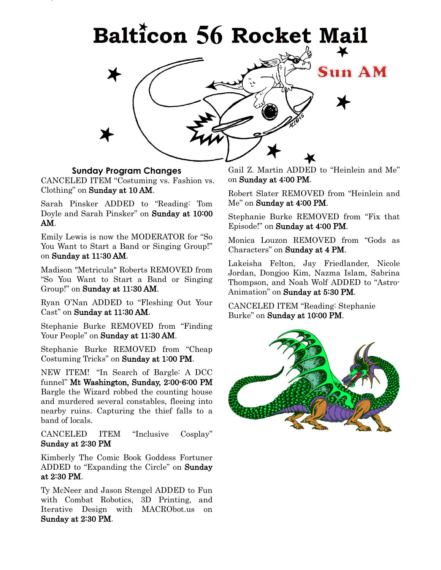

### **Sunday Program Changes**

CANCELED ITEM "Costuming vs. Fashion vs. Clothing" on Sunday at 10 AM.

Sarah Pinsker ADDED to "Reading: Tom Doyle and Sarah Pinsker" on Sunday at 10:00 AM.

Emily Lewis is now the MODERATOR for "So You Want to Start a Band or Singing Group!" on Sunday at 11:30 AM.

Madison "Metricula" Roberts REMOVED from "So You Want to Start a Band or Singing Group!" on Sunday at 11:30 AM.

Ryan O'Nan ADDED to "Fleshing Out Your Cast" on Sunday at 11:30 AM.

Stephanie Burke REMOVED from "Finding Your People" on Sunday at 11:30 AM.

Stephanie Burke REMOVED from "Cheap Costuming Tricks" on Sunday at 1:00 PM.

NEW ITEM! "In Search of Bargle: A DCC funnel" Mt Washington, Sunday, 2:00-6:00 PM Bargle the Wizard robbed the counting house and murdered several constables, fleeing into nearby ruins. Capturing the thief falls to a band of locals.

CANCELED ITEM "Inclusive Cosplay" Sunday at 2:30 PM

Kimberly The Comic Book Goddess Fortuner ADDED to "Expanding the Circle" on Sunday at 2:30 PM.

Ty McNeer and Jason Stengel ADDED to Fun with Combat Robotics, 3D Printing, and Iterative Design with MACRObot.us on Sunday at 2:30 PM.

Gail Z. Martin ADDED to "Heinlein and Me" on Sunday at 4:00 PM.

Robert Slater REMOVED from "Heinlein and Me" on Sunday at 4:00 PM.

Stephanie Burke REMOVED from "Fix that Episode!" on Sunday at 4:00 PM.

Monica Louzon REMOVED from "Gods as Characters" on Sunday at 4 PM.

Lakeisha Felton, Jay Friedlander, Nicole Jordan, Dongjoo Kim, Nazma Islam, Sabrina Thompson, and Noah Wolf ADDED to "Astro-Animation" on Sunday at 5:30 PM.

CANCELED ITEM "Reading: Stephanie Burke" on Sunday at 10:00 PM.